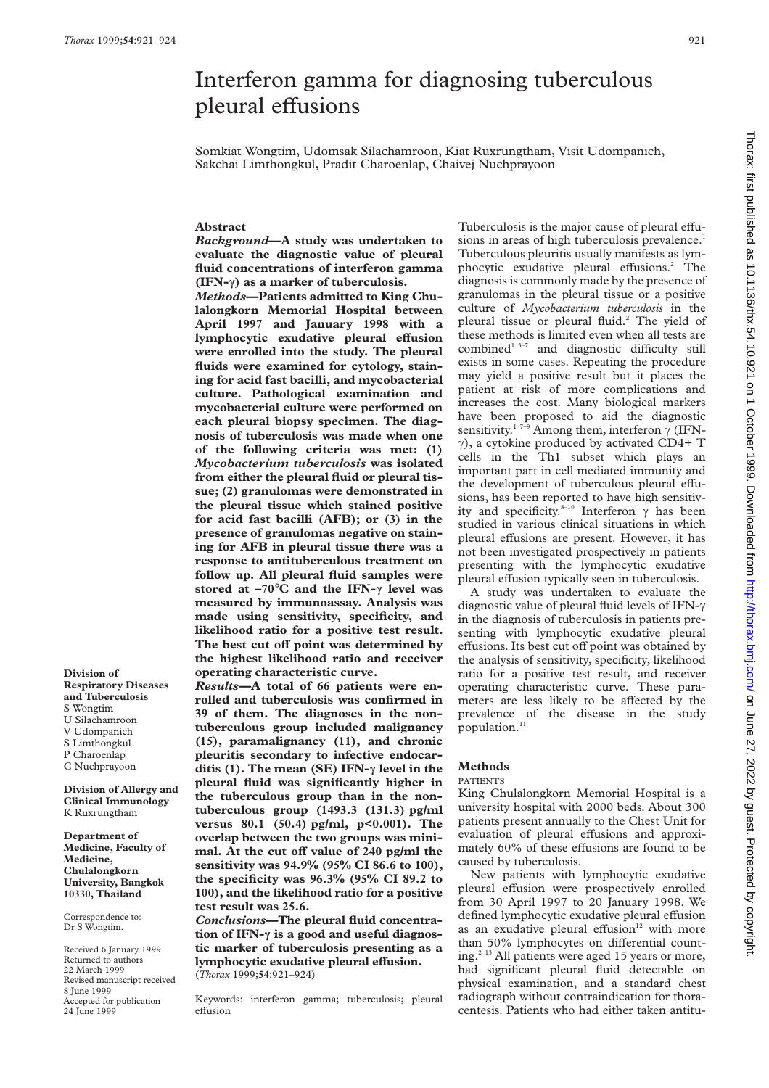# Interferon gamma for diagnosing tuberculous pleural effusions

Somkiat Wongtim, Udomsak Silachamroon, Kiat Ruxrungtham, Visit Udompanich, Sakchai Limthongkul, Pradit Charoenlap, Chaivej Nuchprayoon

# **Abstract**

*Background***—A study was undertaken to evaluate the diagnostic value of pleural fluid concentrations of interferon gamma (IFN-ã) as a marker of tuberculosis.**

*Methods***—Patients admitted to King Chulalongkorn Memorial Hospital between April 1997 and January 1998 with a** lymphocytic exudative pleural effusion **were enrolled into the study. The pleural fluids were examined for cytology, staining for acid fast bacilli, and mycobacterial culture. Pathological examination and mycobacterial culture were performed on each pleural biopsy specimen. The diagnosis of tuberculosis was made when one of the following criteria was met: (1)** *Mycobacterium tuberculosis* **was isolated from either the pleural fluid or pleural tissue; (2) granulomas were demonstrated in the pleural tissue which stained positive for acid fast bacilli (AFB); or (3) in the presence of granulomas negative on staining for AFB in pleural tissue there was a response to antituberculous treatment on follow up. All pleural fluid samples were stored at –70**°**C and the IFN-ã level was measured by immunoassay. Analysis was made using sensitivity, specificity, and likelihood ratio for a positive test result.** The best cut off point was determined by **the highest likelihood ratio and receiver operating characteristic curve.**

**Division of Respiratory Diseases and Tuberculosis** S Wongtim U Silachamroon V Udompanich S Limthongkul P Charoenlap C Nuchprayoon

**Division of Allergy and Clinical Immunology** K Ruxrungtham

**Department of Medicine, Faculty of Medicine, Chulalongkorn University, Bangkok 10330, Thailand**

Correspondence to: Dr S Wongtim.

Received 6 January 1999 Returned to authors 22 March 1999 Revised manuscript received 8 June 1999 Accepted for publication 24 June 1999

*Results***—A total of 66 patients were enrolled and tuberculosis was confirmed in 39 of them. The diagnoses in the nontuberculous group included malignancy (15), paramalignancy (11), and chronic pleuritis secondary to infective endocarditis (1). The mean (SE) IFN-ã level in the pleural fluid was significantly higher in the tuberculous group than in the nontuberculous group (1493.3 (131.3) pg/ml versus 80.1 (50.4) pg/ml, p<0.001). The overlap between the two groups was mini**mal. At the cut off value of 240 pg/ml the **sensitivity was 94.9% (95% CI 86.6 to 100), the specificity was 96.3% (95% CI 89.2 to 100), and the likelihood ratio for a positive test result was 25.6.**

*Conclusions***—The pleural fluid concentration of IFN-ã is a good and useful diagnostic marker of tuberculosis presenting as a lymphocytic exudative pleural effusion.** (*Thorax* 1999;**54**:921–924)

Keywords: interferon gamma; tuberculosis; pleural effusion

Tuberculosis is the major cause of pleural effusions in areas of high tuberculosis prevalence.<sup>1</sup> Tuberculous pleuritis usually manifests as lymphocytic exudative pleural effusions.<sup>2</sup> The diagnosis is commonly made by the presence of granulomas in the pleural tissue or a positive culture of *Mycobacterium tuberculosis* in the pleural tissue or pleural fluid.2 The yield of these methods is limited even when all tests are combined<sup>1 3-7</sup> and diagnostic difficulty still exists in some cases. Repeating the procedure may yield a positive result but it places the patient at risk of more complications and increases the cost. Many biological markers have been proposed to aid the diagnostic sensitivity.<sup>17-9</sup> Among them, interferon  $\gamma$  (IFN- $\gamma$ ), a cytokine produced by activated CD4+ T cells in the Th1 subset which plays an important part in cell mediated immunity and the development of tuberculous pleural effusions, has been reported to have high sensitivity and specificity.<sup>8-10</sup> Interferon  $\gamma$  has been studied in various clinical situations in which pleural effusions are present. However, it has not been investigated prospectively in patients presenting with the lymphocytic exudative pleural effusion typically seen in tuberculosis.

A study was undertaken to evaluate the diagnostic value of pleural fluid levels of IFN- $\gamma$ in the diagnosis of tuberculosis in patients presenting with lymphocytic exudative pleural effusions. Its best cut off point was obtained by the analysis of sensitivity, specificity, likelihood ratio for a positive test result, and receiver operating characteristic curve. These parameters are less likely to be affected by the prevalence of the disease in the study population.<sup>1</sup>

## **Methods**

#### PATIENTS

King Chulalongkorn Memorial Hospital is a university hospital with 2000 beds. About 300 patients present annually to the Chest Unit for evaluation of pleural effusions and approximately 60% of these effusions are found to be caused by tuberculosis.

New patients with lymphocytic exudative pleural effusion were prospectively enrolled from 30 April 1997 to 20 January 1998. We defined lymphocytic exudative pleural effusion as an exudative pleural effusion $12$  with more than 50% lymphocytes on differential counting.<sup>2 13</sup> All patients were aged 15 years or more, had significant pleural fluid detectable on physical examination, and a standard chest radiograph without contraindication for thoracentesis. Patients who had either taken antitu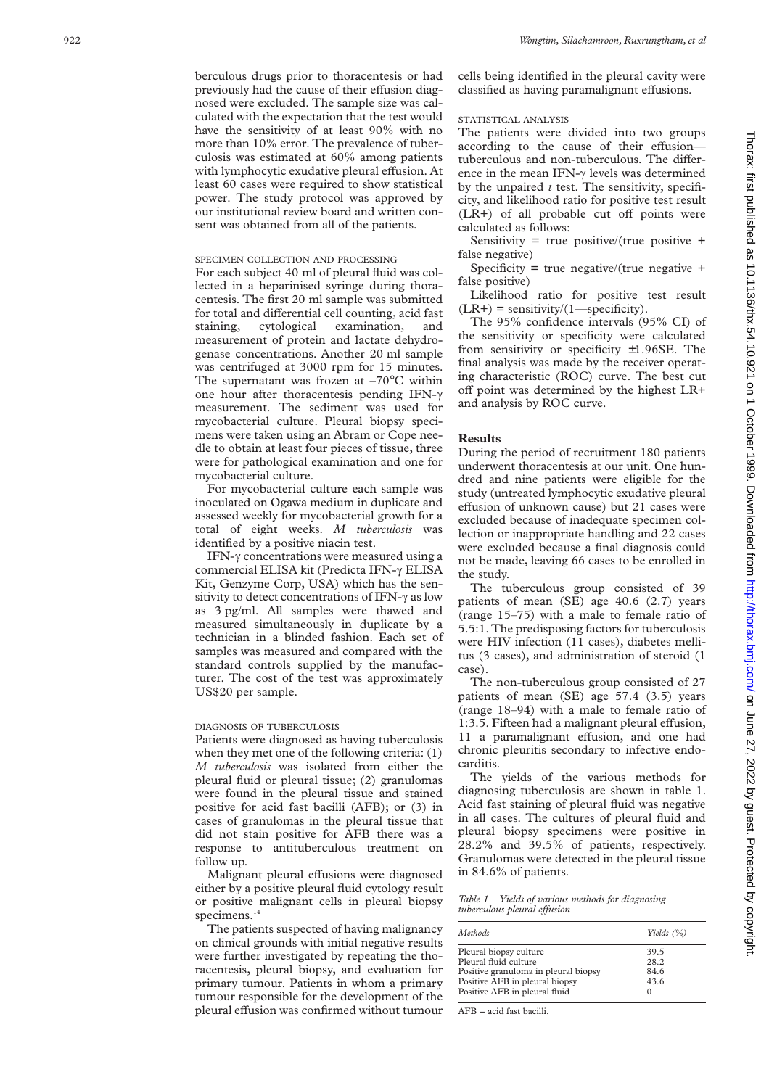berculous drugs prior to thoracentesis or had previously had the cause of their effusion diagnosed were excluded. The sample size was calculated with the expectation that the test would have the sensitivity of at least 90% with no more than 10% error. The prevalence of tuberculosis was estimated at 60% among patients with lymphocytic exudative pleural effusion. At least 60 cases were required to show statistical power. The study protocol was approved by our institutional review board and written consent was obtained from all of the patients.

# SPECIMEN COLLECTION AND PROCESSING

For each subject 40 ml of pleural fluid was collected in a heparinised syringe during thoracentesis. The first 20 ml sample was submitted for total and differential cell counting, acid fast staining, cytological examination, and measurement of protein and lactate dehydrogenase concentrations. Another 20 ml sample was centrifuged at 3000 rpm for 15 minutes. The supernatant was frozen at  $-70^{\circ}$ C within one hour after thoracentesis pending IFN- $\gamma$ measurement. The sediment was used for mycobacterial culture. Pleural biopsy specimens were taken using an Abram or Cope needle to obtain at least four pieces of tissue, three were for pathological examination and one for mycobacterial culture.

For mycobacterial culture each sample was inoculated on Ogawa medium in duplicate and assessed weekly for mycobacterial growth for a total of eight weeks. *M tuberculosis* was identified by a positive niacin test.

IFN- $\gamma$  concentrations were measured using a commercial ELISA kit (Predicta IFN- $\gamma$  ELISA Kit, Genzyme Corp, USA) which has the sensitivity to detect concentrations of IFN- $\gamma$  as low as 3 pg/ml. All samples were thawed and measured simultaneously in duplicate by a technician in a blinded fashion. Each set of samples was measured and compared with the standard controls supplied by the manufacturer. The cost of the test was approximately US\$20 per sample.

# DIAGNOSIS OF TUBERCULOSIS

Patients were diagnosed as having tuberculosis when they met one of the following criteria: (1) *M tuberculosis* was isolated from either the pleural fluid or pleural tissue; (2) granulomas were found in the pleural tissue and stained positive for acid fast bacilli (AFB); or (3) in cases of granulomas in the pleural tissue that did not stain positive for AFB there was a response to antituberculous treatment on follow up.

Malignant pleural effusions were diagnosed either by a positive pleural fluid cytology result or positive malignant cells in pleural biopsy specimens.<sup>14</sup>

The patients suspected of having malignancy on clinical grounds with initial negative results were further investigated by repeating the thoracentesis, pleural biopsy, and evaluation for primary tumour. Patients in whom a primary tumour responsible for the development of the pleural effusion was confirmed without tumour AFB = acid fast bacilli.

cells being identified in the pleural cavity were classified as having paramalignant effusions.

# STATISTICAL ANALYSIS

The patients were divided into two groups according to the cause of their effusiontuberculous and non-tuberculous. The difference in the mean IFN- $\gamma$  levels was determined by the unpaired *t* test. The sensitivity, specificity, and likelihood ratio for positive test result  $(LR+)$  of all probable cut off points were calculated as follows:

Sensitivity = true positive/(true positive  $+$ false negative)

Specificity = true negative/(true negative  $+$ false positive)

Likelihood ratio for positive test result  $(LR+)$  = sensitivity/ $(1$ —specificity).

The 95% confidence intervals (95% CI) of the sensitivity or specificity were calculated from sensitivity or specificity  $\pm 1.96$ SE. The final analysis was made by the receiver operating characteristic (ROC) curve. The best cut off point was determined by the highest LR+ and analysis by ROC curve.

## **Results**

During the period of recruitment 180 patients underwent thoracentesis at our unit. One hundred and nine patients were eligible for the study (untreated lymphocytic exudative pleural effusion of unknown cause) but 21 cases were excluded because of inadequate specimen collection or inappropriate handling and 22 cases were excluded because a final diagnosis could not be made, leaving 66 cases to be enrolled in the study.

The tuberculous group consisted of 39 patients of mean (SE) age 40.6 (2.7) years (range 15–75) with a male to female ratio of 5.5:1. The predisposing factors for tuberculosis were HIV infection (11 cases), diabetes mellitus (3 cases), and administration of steroid (1 case).

The non-tuberculous group consisted of 27 patients of mean (SE) age 57.4 (3.5) years (range 18–94) with a male to female ratio of 1:3.5. Fifteen had a malignant pleural effusion, 11 a paramalignant effusion, and one had chronic pleuritis secondary to infective endocarditis.

The yields of the various methods for diagnosing tuberculosis are shown in table 1. Acid fast staining of pleural fluid was negative in all cases. The cultures of pleural fluid and pleural biopsy specimens were positive in 28.2% and 39.5% of patients, respectively. Granulomas were detected in the pleural tissue in 84.6% of patients.

#### *Table 1 Yields of various methods for diagnosing*  $tuberculous pleural effusion$

| Methods                              | Yields $(\%)$ |
|--------------------------------------|---------------|
| Pleural biopsy culture               | 39.5          |
| Pleural fluid culture                | 28.2          |
| Positive granuloma in pleural biopsy | 84.6          |
| Positive AFB in pleural biopsy       | 43.6          |
| Positive AFB in pleural fluid        |               |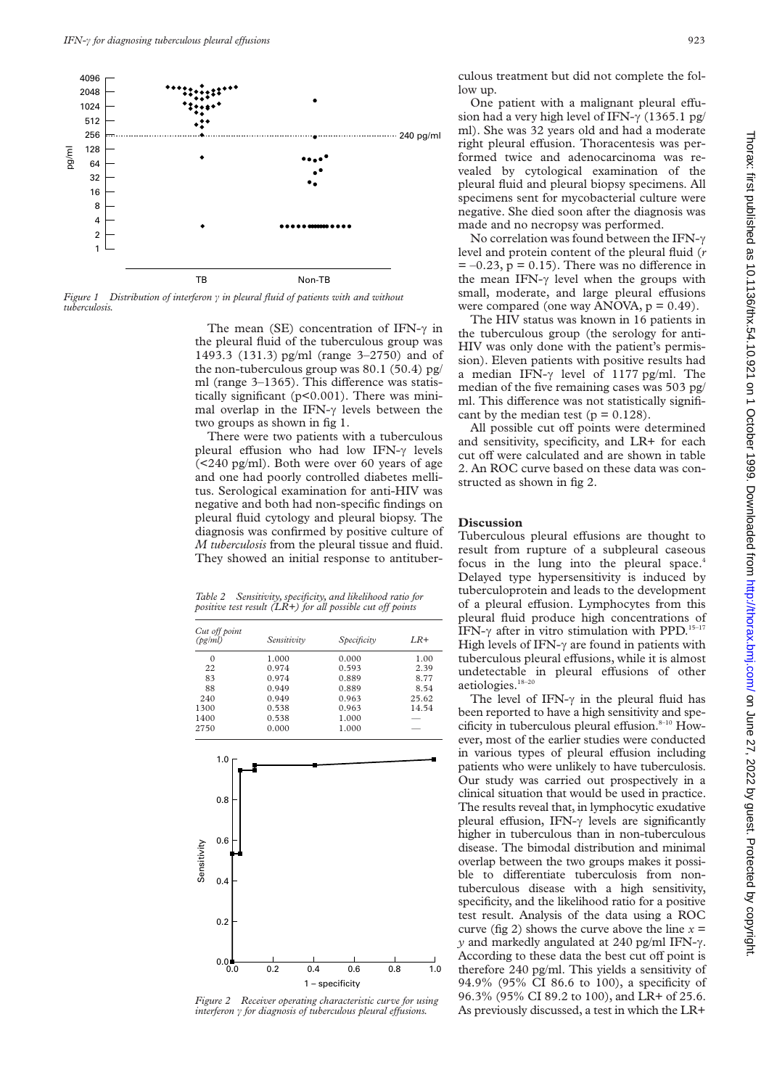

*Figure 1* Distribution of interferon  $\gamma$  *in pleural fluid of patients with and without tuberculosis.*

The mean (SE) concentration of IFN- $\gamma$  in the pleural fluid of the tuberculous group was 1493.3 (131.3) pg/ml (range 3–2750) and of the non-tuberculous group was 80.1 (50.4) pg/ ml (range  $3-1365$ ). This difference was statistically significant (p<0.001). There was minimal overlap in the IFN- $\gamma$  levels between the two groups as shown in fig 1.

There were two patients with a tuberculous pleural effusion who had low IFN- $\gamma$  levels (<240 pg/ml). Both were over 60 years of age and one had poorly controlled diabetes mellitus. Serological examination for anti-HIV was negative and both had non-specific findings on pleural fluid cytology and pleural biopsy. The diagnosis was confirmed by positive culture of *M tuberculosis* from the pleural tissue and fluid. They showed an initial response to antituber-

*Table 2 Sensitivity, specificity, and likelihood ratio for positive test result* ( $LR+$ ) for all possible cut off points

| Cut off point<br>(pg/ml) | Sensitivity | Specificity | $LR+$ |
|--------------------------|-------------|-------------|-------|
| $\Omega$                 | 1.000       | 0.000       | 1.00  |
| 22                       | 0.974       | 0.593       | 2.39  |
| 83                       | 0.974       | 0.889       | 8.77  |
| 88                       | 0.949       | 0.889       | 8.54  |
| 240                      | 0.949       | 0.963       | 25.62 |
| 1300                     | 0.538       | 0.963       | 14.54 |
| 1400                     | 0.538       | 1.000       |       |
| 2750                     | 0.000       | 1.000       |       |



*Figure 2 Receiver operating characteristic curve for using interferon*  $\gamma$  *for diagnosis of tuberculous pleural effusions.* 

culous treatment but did not complete the follow up.

One patient with a malignant pleural effusion had a very high level of IFN- $\gamma$  (1365.1 pg/ ml). She was 32 years old and had a moderate right pleural effusion. Thoracentesis was performed twice and adenocarcinoma was revealed by cytological examination of the pleural fluid and pleural biopsy specimens. All specimens sent for mycobacterial culture were negative. She died soon after the diagnosis was made and no necropsy was performed.

No correlation was found between the IFN- $\gamma$ level and protein content of the pleural fluid (*r*  $= -0.23$ ,  $p = 0.15$ ). There was no difference in the mean IFN- $\gamma$  level when the groups with small, moderate, and large pleural effusions were compared (one way ANOVA,  $p = 0.49$ ).

The HIV status was known in 16 patients in the tuberculous group (the serology for anti-HIV was only done with the patient's permission). Eleven patients with positive results had a median IFN- $\gamma$  level of 1177 pg/ml. The median of the five remaining cases was 503 pg/ ml. This difference was not statistically significant by the median test ( $p = 0.128$ ).

All possible cut off points were determined and sensitivity, specificity, and LR+ for each cut off were calculated and are shown in table 2. An ROC curve based on these data was constructed as shown in fig 2.

# **Discussion**

Tuberculous pleural effusions are thought to result from rupture of a subpleural caseous focus in the lung into the pleural space.<sup>4</sup> Delayed type hypersensitivity is induced by tuberculoprotein and leads to the development of a pleural effusion. Lymphocytes from this pleural fluid produce high concentrations of IFN- $\gamma$  after in vitro stimulation with PPD.<sup>15-17</sup> High levels of IFN- $\gamma$  are found in patients with tuberculous pleural effusions, while it is almost undetectable in pleural effusions of other aetiologies.18–20

The level of IFN- $\gamma$  in the pleural fluid has been reported to have a high sensitivity and specificity in tuberculous pleural effusion. $8-10$  However, most of the earlier studies were conducted in various types of pleural effusion including patients who were unlikely to have tuberculosis. Our study was carried out prospectively in a clinical situation that would be used in practice. The results reveal that, in lymphocytic exudative pleural effusion, IFN- $\gamma$  levels are significantly higher in tuberculous than in non-tuberculous disease. The bimodal distribution and minimal overlap between the two groups makes it possible to differentiate tuberculosis from nontuberculous disease with a high sensitivity, specificity, and the likelihood ratio for a positive test result. Analysis of the data using a ROC curve (fig 2) shows the curve above the line  $x =$  $y$  and markedly angulated at 240 pg/ml IFN- $\gamma$ . According to these data the best cut off point is therefore 240 pg/ml. This yields a sensitivity of 94.9% (95% CI 86.6 to 100), a specificity of 96.3% (95% CI 89.2 to 100), and LR+ of 25.6. As previously discussed, a test in which the LR+